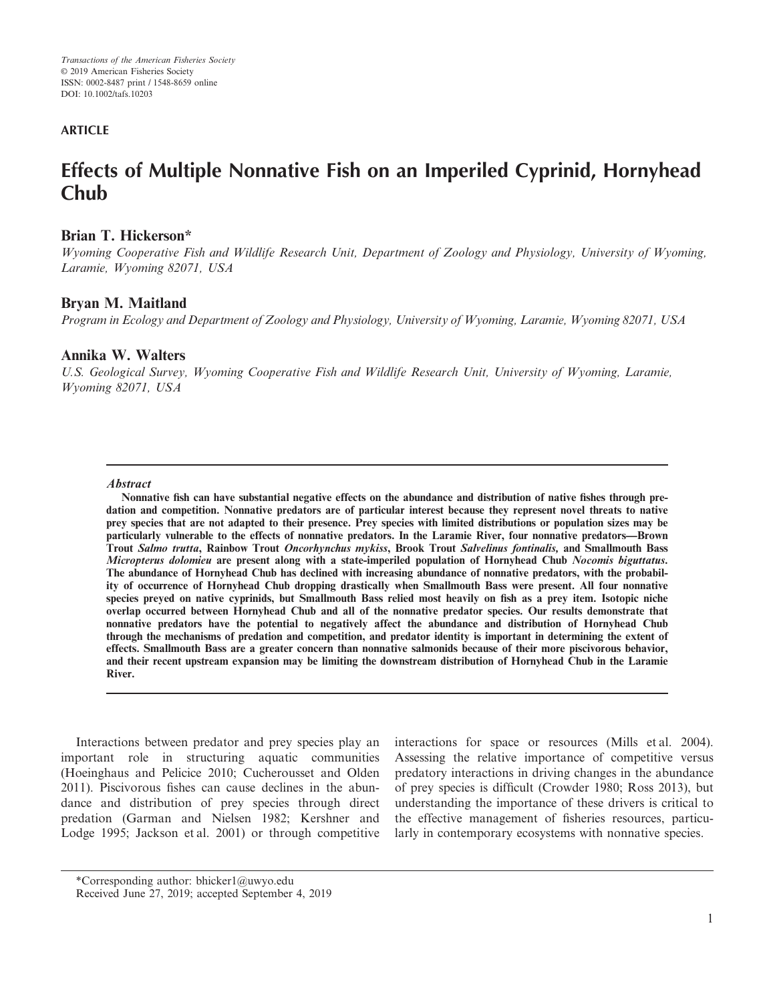## **ARTICLE**

# **Effects of Multiple Nonnative Fish on an Imperiled Cyprinid, Hornyhead Chub**

## **Brian T. Hickerson\***

*Wyoming Cooperative Fish and Wildlife Research Unit, Department of Zoology and Physiology, University of Wyoming, Laramie, Wyoming 82071, USA*

## **Bryan M. Maitland**

*Program in Ecology and Department of Zoology and Physiology, University of Wyoming, Laramie, Wyoming 82071, USA*

## **Annika W. Walters**

*U.S. Geological Survey, Wyoming Cooperative Fish and Wildlife Research Unit, University of Wyoming, Laramie, Wyoming 82071, USA*

#### **Abstract**

**Nonnative fish can have substantial negative effects on the abundance and distribution of native fishes through predation and competition. Nonnative predators are of particular interest because they represent novel threats to native prey species that are not adapted to their presence. Prey species with limited distributions or population sizes may be particularly vulnerable to the effects of nonnative predators. In the Laramie River, four nonnative predators—Brown Trout Salmo trutta, Rainbow Trout Oncorhynchus mykiss, Brook Trout Salvelinus fontinalis, and Smallmouth Bass Micropterus dolomieu are present along with a state-imperiled population of Hornyhead Chub Nocomis biguttatus. The abundance of Hornyhead Chub has declined with increasing abundance of nonnative predators, with the probability of occurrence of Hornyhead Chub dropping drastically when Smallmouth Bass were present. All four nonnative species preyed on native cyprinids, but Smallmouth Bass relied most heavily on fish as a prey item. Isotopic niche overlap occurred between Hornyhead Chub and all of the nonnative predator species. Our results demonstrate that nonnative predators have the potential to negatively affect the abundance and distribution of Hornyhead Chub through the mechanisms of predation and competition, and predator identity is important in determining the extent of effects. Smallmouth Bass are a greater concern than nonnative salmonids because of their more piscivorous behavior, and their recent upstream expansion may be limiting the downstream distribution of Hornyhead Chub in the Laramie River.**

Interactions between predator and prey species play an important role in structuring aquatic communities (Hoeinghaus and Pelicice 2010; Cucherousset and Olden 2011). Piscivorous fishes can cause declines in the abundance and distribution of prey species through direct predation (Garman and Nielsen 1982; Kershner and Lodge 1995; Jackson et al. 2001) or through competitive interactions for space or resources (Mills et al. 2004). Assessing the relative importance of competitive versus predatory interactions in driving changes in the abundance of prey species is difficult (Crowder 1980; Ross 2013), but understanding the importance of these drivers is critical to the effective management of fisheries resources, particularly in contemporary ecosystems with nonnative species.

\*Corresponding author: [bhicker1@uwyo.edu](mailto:)

Received June 27, 2019; accepted September 4, 2019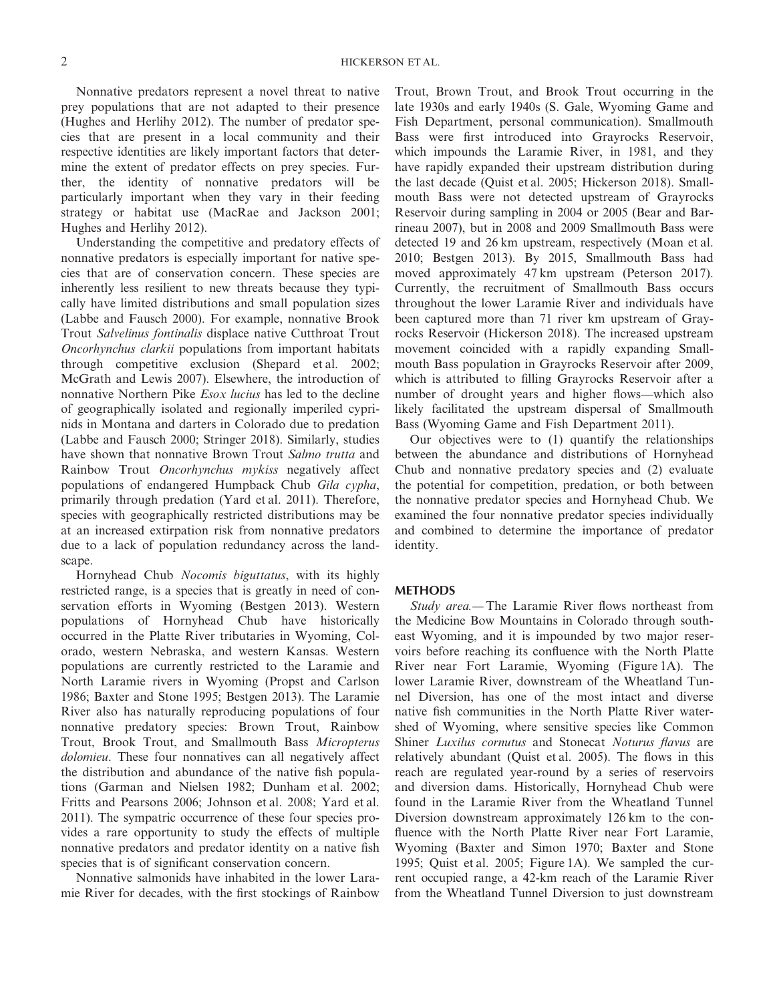Nonnative predators represent a novel threat to native prey populations that are not adapted to their presence (Hughes and Herlihy 2012). The number of predator species that are present in a local community and their respective identities are likely important factors that determine the extent of predator effects on prey species. Further, the identity of nonnative predators will be particularly important when they vary in their feeding strategy or habitat use (MacRae and Jackson 2001; Hughes and Herlihy 2012).

Understanding the competitive and predatory effects of nonnative predators is especially important for native species that are of conservation concern. These species are inherently less resilient to new threats because they typically have limited distributions and small population sizes (Labbe and Fausch 2000). For example, nonnative Brook Trout *Salvelinus fontinalis* displace native Cutthroat Trout *Oncorhynchus clarkii* populations from important habitats through competitive exclusion (Shepard et al. 2002; McGrath and Lewis 2007). Elsewhere, the introduction of nonnative Northern Pike *Esox lucius* has led to the decline of geographically isolated and regionally imperiled cyprinids in Montana and darters in Colorado due to predation (Labbe and Fausch 2000; Stringer 2018). Similarly, studies have shown that nonnative Brown Trout *Salmo trutta* and Rainbow Trout *Oncorhynchus mykiss* negatively affect populations of endangered Humpback Chub *Gila cypha*, primarily through predation (Yard et al. 2011). Therefore, species with geographically restricted distributions may be at an increased extirpation risk from nonnative predators due to a lack of population redundancy across the landscape.

Hornyhead Chub *Nocomis biguttatus*, with its highly restricted range, is a species that is greatly in need of conservation efforts in Wyoming (Bestgen 2013). Western populations of Hornyhead Chub have historically occurred in the Platte River tributaries in Wyoming, Colorado, western Nebraska, and western Kansas. Western populations are currently restricted to the Laramie and North Laramie rivers in Wyoming (Propst and Carlson 1986; Baxter and Stone 1995; Bestgen 2013). The Laramie River also has naturally reproducing populations of four nonnative predatory species: Brown Trout, Rainbow Trout, Brook Trout, and Smallmouth Bass *Micropterus dolomieu*. These four nonnatives can all negatively affect the distribution and abundance of the native fish populations (Garman and Nielsen 1982; Dunham et al. 2002; Fritts and Pearsons 2006; Johnson et al. 2008; Yard et al. 2011). The sympatric occurrence of these four species provides a rare opportunity to study the effects of multiple nonnative predators and predator identity on a native fish species that is of significant conservation concern.

Nonnative salmonids have inhabited in the lower Laramie River for decades, with the first stockings of Rainbow Trout, Brown Trout, and Brook Trout occurring in the late 1930s and early 1940s (S. Gale, Wyoming Game and Fish Department, personal communication). Smallmouth Bass were first introduced into Grayrocks Reservoir, which impounds the Laramie River, in 1981, and they have rapidly expanded their upstream distribution during the last decade (Quist et al. 2005; Hickerson 2018). Smallmouth Bass were not detected upstream of Grayrocks Reservoir during sampling in 2004 or 2005 (Bear and Barrineau 2007), but in 2008 and 2009 Smallmouth Bass were detected 19 and 26 km upstream, respectively (Moan et al. 2010; Bestgen 2013). By 2015, Smallmouth Bass had moved approximately 47 km upstream (Peterson 2017). Currently, the recruitment of Smallmouth Bass occurs throughout the lower Laramie River and individuals have been captured more than 71 river km upstream of Grayrocks Reservoir (Hickerson 2018). The increased upstream movement coincided with a rapidly expanding Smallmouth Bass population in Grayrocks Reservoir after 2009, which is attributed to filling Grayrocks Reservoir after a number of drought years and higher flows—which also likely facilitated the upstream dispersal of Smallmouth Bass (Wyoming Game and Fish Department 2011).

Our objectives were to (1) quantify the relationships between the abundance and distributions of Hornyhead Chub and nonnative predatory species and (2) evaluate the potential for competition, predation, or both between the nonnative predator species and Hornyhead Chub. We examined the four nonnative predator species individually and combined to determine the importance of predator identity.

#### **METHODS**

*Study area.—* The Laramie River flows northeast from the Medicine Bow Mountains in Colorado through southeast Wyoming, and it is impounded by two major reservoirs before reaching its confluence with the North Platte River near Fort Laramie, Wyoming (Figure 1A). The lower Laramie River, downstream of the Wheatland Tunnel Diversion, has one of the most intact and diverse native fish communities in the North Platte River watershed of Wyoming, where sensitive species like Common Shiner *Luxilus cornutus* and Stonecat *Noturus flavus* are relatively abundant (Quist et al. 2005). The flows in this reach are regulated year-round by a series of reservoirs and diversion dams. Historically, Hornyhead Chub were found in the Laramie River from the Wheatland Tunnel Diversion downstream approximately 126 km to the confluence with the North Platte River near Fort Laramie, Wyoming (Baxter and Simon 1970; Baxter and Stone 1995; Quist et al. 2005; Figure 1A). We sampled the current occupied range, a 42-km reach of the Laramie River from the Wheatland Tunnel Diversion to just downstream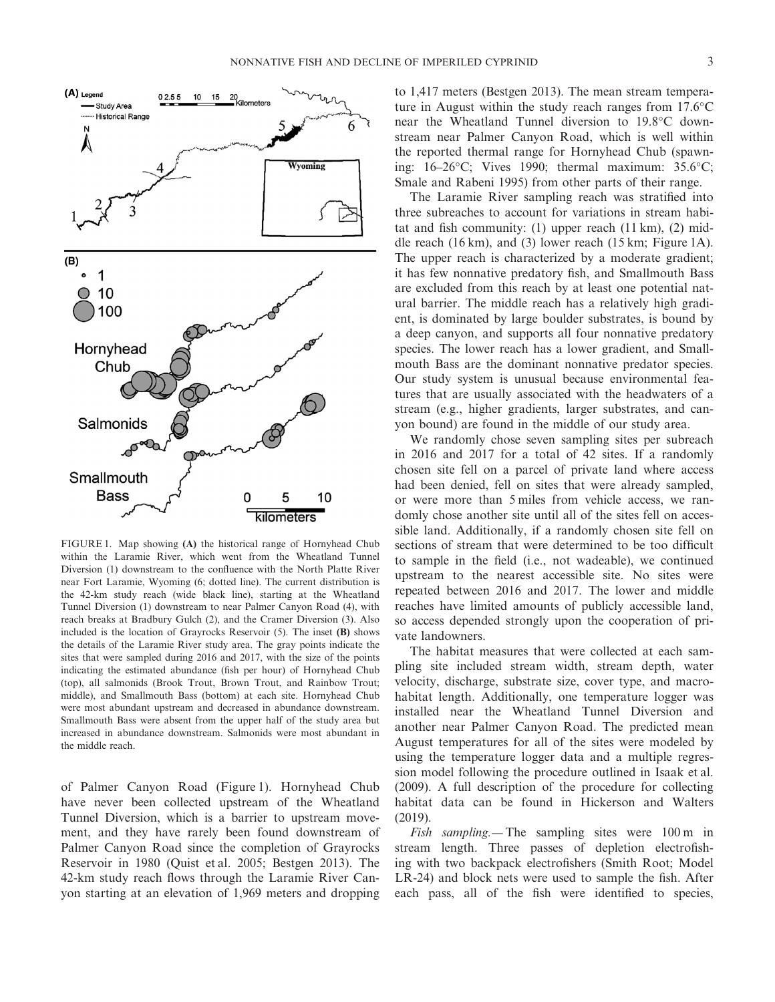

FIGURE 1. Map showing **(A)** the historical range of Hornyhead Chub within the Laramie River, which went from the Wheatland Tunnel Diversion (1) downstream to the confluence with the North Platte River near Fort Laramie, Wyoming (6; dotted line). The current distribution is the 42-km study reach (wide black line), starting at the Wheatland Tunnel Diversion (1) downstream to near Palmer Canyon Road (4), with reach breaks at Bradbury Gulch (2), and the Cramer Diversion (3). Also included is the location of Grayrocks Reservoir (5). The inset **(B)** shows the details of the Laramie River study area. The gray points indicate the sites that were sampled during 2016 and 2017, with the size of the points indicating the estimated abundance (fish per hour) of Hornyhead Chub (top), all salmonids (Brook Trout, Brown Trout, and Rainbow Trout; middle), and Smallmouth Bass (bottom) at each site. Hornyhead Chub were most abundant upstream and decreased in abundance downstream. Smallmouth Bass were absent from the upper half of the study area but increased in abundance downstream. Salmonids were most abundant in the middle reach.

of Palmer Canyon Road (Figure 1). Hornyhead Chub have never been collected upstream of the Wheatland Tunnel Diversion, which is a barrier to upstream movement, and they have rarely been found downstream of Palmer Canyon Road since the completion of Grayrocks Reservoir in 1980 (Quist et al. 2005; Bestgen 2013). The 42-km study reach flows through the Laramie River Canyon starting at an elevation of 1,969 meters and dropping to 1,417 meters (Bestgen 2013). The mean stream temperature in August within the study reach ranges from 17.6°C near the Wheatland Tunnel diversion to 19.8°C downstream near Palmer Canyon Road, which is well within the reported thermal range for Hornyhead Chub (spawning: 16–26°C; Vives 1990; thermal maximum: 35.6°C; Smale and Rabeni 1995) from other parts of their range.

The Laramie River sampling reach was stratified into three subreaches to account for variations in stream habitat and fish community: (1) upper reach  $(11 \text{ km})$ ,  $(2)$  middle reach (16 km), and (3) lower reach (15 km; Figure 1A). The upper reach is characterized by a moderate gradient; it has few nonnative predatory fish, and Smallmouth Bass are excluded from this reach by at least one potential natural barrier. The middle reach has a relatively high gradient, is dominated by large boulder substrates, is bound by a deep canyon, and supports all four nonnative predatory species. The lower reach has a lower gradient, and Smallmouth Bass are the dominant nonnative predator species. Our study system is unusual because environmental features that are usually associated with the headwaters of a stream (e.g., higher gradients, larger substrates, and canyon bound) are found in the middle of our study area.

We randomly chose seven sampling sites per subreach in 2016 and 2017 for a total of 42 sites. If a randomly chosen site fell on a parcel of private land where access had been denied, fell on sites that were already sampled, or were more than 5 miles from vehicle access, we randomly chose another site until all of the sites fell on accessible land. Additionally, if a randomly chosen site fell on sections of stream that were determined to be too difficult to sample in the field (i.e., not wadeable), we continued upstream to the nearest accessible site. No sites were repeated between 2016 and 2017. The lower and middle reaches have limited amounts of publicly accessible land, so access depended strongly upon the cooperation of private landowners.

The habitat measures that were collected at each sampling site included stream width, stream depth, water velocity, discharge, substrate size, cover type, and macrohabitat length. Additionally, one temperature logger was installed near the Wheatland Tunnel Diversion and another near Palmer Canyon Road. The predicted mean August temperatures for all of the sites were modeled by using the temperature logger data and a multiple regression model following the procedure outlined in Isaak et al. (2009). A full description of the procedure for collecting habitat data can be found in Hickerson and Walters (2019).

*Fish sampling.—* The sampling sites were 100 m in stream length. Three passes of depletion electrofishing with two backpack electrofishers (Smith Root; Model LR-24) and block nets were used to sample the fish. After each pass, all of the fish were identified to species,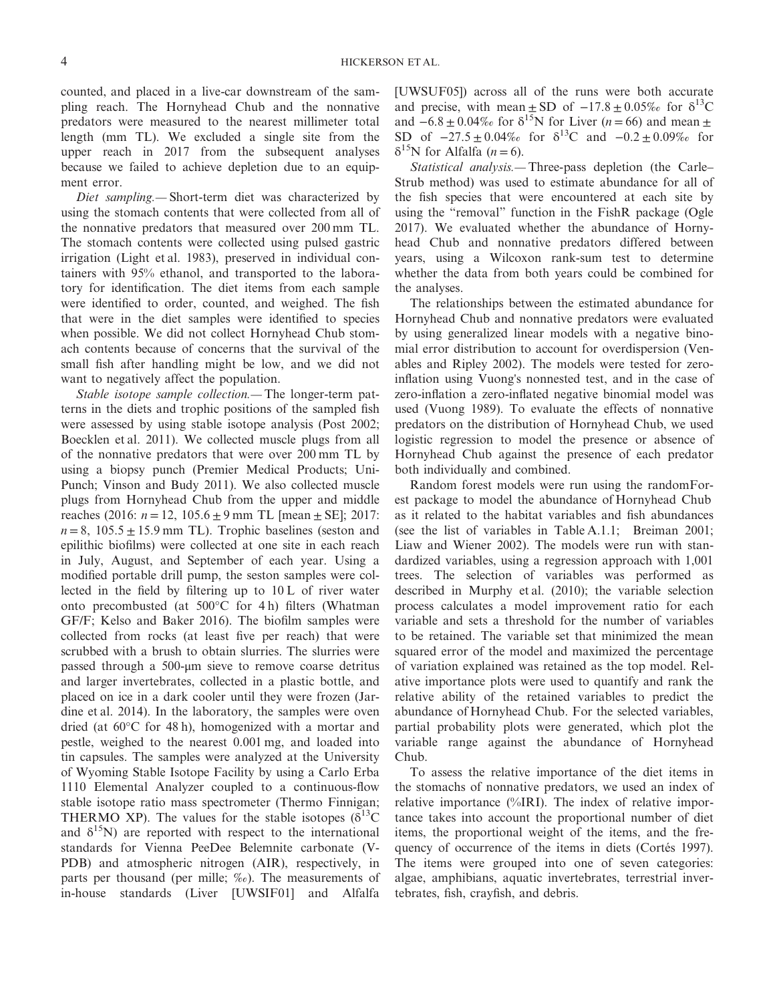counted, and placed in a live-car downstream of the sampling reach. The Hornyhead Chub and the nonnative predators were measured to the nearest millimeter total length (mm TL). We excluded a single site from the upper reach in 2017 from the subsequent analyses because we failed to achieve depletion due to an equipment error.

*Diet sampling.—* Short-term diet was characterized by using the stomach contents that were collected from all of the nonnative predators that measured over 200 mm TL. The stomach contents were collected using pulsed gastric irrigation (Light et al. 1983), preserved in individual containers with 95% ethanol, and transported to the laboratory for identification. The diet items from each sample were identified to order, counted, and weighed. The fish that were in the diet samples were identified to species when possible. We did not collect Hornyhead Chub stomach contents because of concerns that the survival of the small fish after handling might be low, and we did not want to negatively affect the population.

*Stable isotope sample collection.—* The longer-term patterns in the diets and trophic positions of the sampled fish were assessed by using stable isotope analysis (Post 2002; Boecklen et al. 2011). We collected muscle plugs from all of the nonnative predators that were over 200 mm TL by using a biopsy punch (Premier Medical Products; Uni-Punch; Vinson and Budy 2011). We also collected muscle plugs from Hornyhead Chub from the upper and middle reaches (2016: *n* = 12, 105.6 ± 9 mm TL [mean ± SE]; 2017:  $n = 8$ ,  $105.5 \pm 15.9$  mm TL). Trophic baselines (seston and epilithic biofilms) were collected at one site in each reach in July, August, and September of each year. Using a modified portable drill pump, the seston samples were collected in the field by filtering up to 10 L of river water onto precombusted (at 500°C for 4 h) filters (Whatman GF/F; Kelso and Baker 2016). The biofilm samples were collected from rocks (at least five per reach) that were scrubbed with a brush to obtain slurries. The slurries were passed through a 500-μm sieve to remove coarse detritus and larger invertebrates, collected in a plastic bottle, and placed on ice in a dark cooler until they were frozen (Jardine et al. 2014). In the laboratory, the samples were oven dried (at 60°C for 48 h), homogenized with a mortar and pestle, weighed to the nearest 0.001 mg, and loaded into tin capsules. The samples were analyzed at the University of Wyoming Stable Isotope Facility by using a Carlo Erba 1110 Elemental Analyzer coupled to a continuous-flow stable isotope ratio mass spectrometer (Thermo Finnigan; THERMO XP). The values for the stable isotopes ( $\delta^{13}$ C) and  $\delta^{15}$ N) are reported with respect to the international standards for Vienna PeeDee Belemnite carbonate (V-PDB) and atmospheric nitrogen (AIR), respectively, in parts per thousand (per mille; ‰). The measurements of in-house standards (Liver [UWSIF01] and Alfalfa [UWSUF05]) across all of the runs were both accurate and precise, with mean  $\pm$  SD of  $-17.8 \pm 0.05\%$  for  $\delta^{13}$ C and  $-6.8 \pm 0.04\%$  for  $\delta^{15}$ N for Liver (*n* = 66) and mean  $\pm$ SD of  $-27.5 \pm 0.04\%$  for  $\delta^{13}$ C and  $-0.2 \pm 0.09\%$  for  $\delta^{15}$ N for Alfalfa (*n* = 6).

*Statistical analysis.—* Three-pass depletion (the Carle– Strub method) was used to estimate abundance for all of the fish species that were encountered at each site by using the "removal" function in the FishR package (Ogle 2017). We evaluated whether the abundance of Hornyhead Chub and nonnative predators differed between years, using a Wilcoxon rank-sum test to determine whether the data from both years could be combined for the analyses.

The relationships between the estimated abundance for Hornyhead Chub and nonnative predators were evaluated by using generalized linear models with a negative binomial error distribution to account for overdispersion (Venables and Ripley 2002). The models were tested for zeroinflation using Vuong's nonnested test, and in the case of zero-inflation a zero-inflated negative binomial model was used (Vuong 1989). To evaluate the effects of nonnative predators on the distribution of Hornyhead Chub, we used logistic regression to model the presence or absence of Hornyhead Chub against the presence of each predator both individually and combined.

Random forest models were run using the randomForest package to model the abundance of Hornyhead Chub as it related to the habitat variables and fish abundances (see the list of variables in Table A.1.1; Breiman 2001; Liaw and Wiener 2002). The models were run with standardized variables, using a regression approach with 1,001 trees. The selection of variables was performed as described in Murphy et al. (2010); the variable selection process calculates a model improvement ratio for each variable and sets a threshold for the number of variables to be retained. The variable set that minimized the mean squared error of the model and maximized the percentage of variation explained was retained as the top model. Relative importance plots were used to quantify and rank the relative ability of the retained variables to predict the abundance of Hornyhead Chub. For the selected variables, partial probability plots were generated, which plot the variable range against the abundance of Hornyhead Chub.

To assess the relative importance of the diet items in the stomachs of nonnative predators, we used an index of relative importance (%IRI). The index of relative importance takes into account the proportional number of diet items, the proportional weight of the items, and the frequency of occurrence of the items in diets (Cortés 1997). The items were grouped into one of seven categories: algae, amphibians, aquatic invertebrates, terrestrial invertebrates, fish, crayfish, and debris.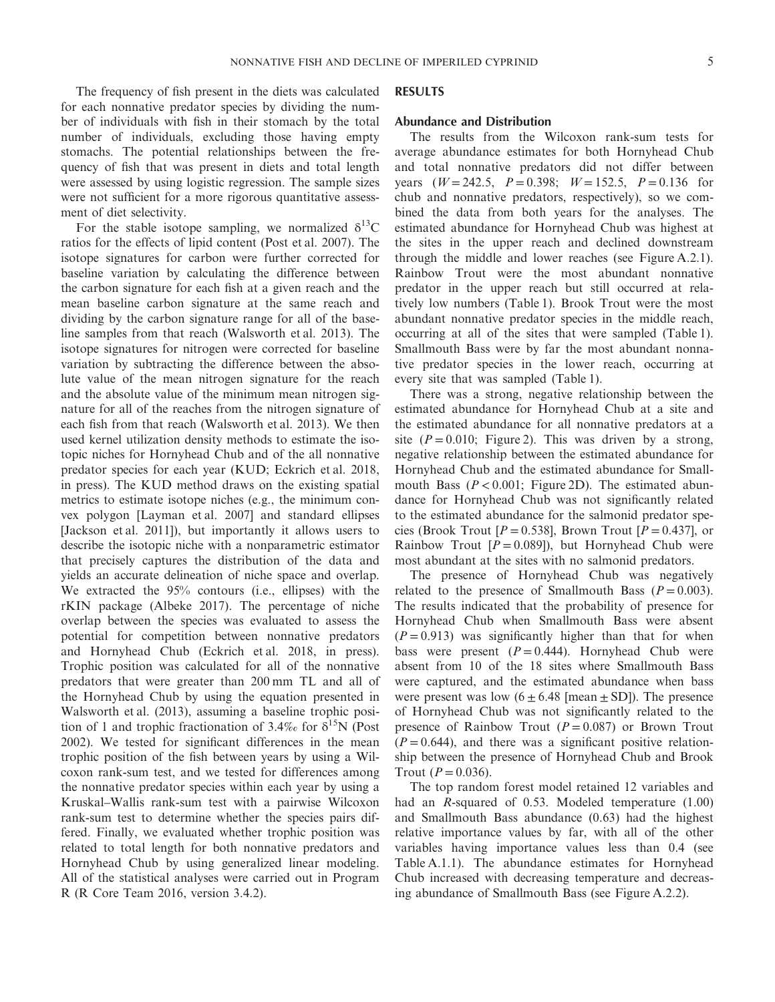The frequency of fish present in the diets was calculated for each nonnative predator species by dividing the number of individuals with fish in their stomach by the total number of individuals, excluding those having empty stomachs. The potential relationships between the frequency of fish that was present in diets and total length were assessed by using logistic regression. The sample sizes were not sufficient for a more rigorous quantitative assessment of diet selectivity.

For the stable isotope sampling, we normalized  $\delta^{13}$ C ratios for the effects of lipid content (Post et al. 2007). The isotope signatures for carbon were further corrected for baseline variation by calculating the difference between the carbon signature for each fish at a given reach and the mean baseline carbon signature at the same reach and dividing by the carbon signature range for all of the baseline samples from that reach (Walsworth et al. 2013). The isotope signatures for nitrogen were corrected for baseline variation by subtracting the difference between the absolute value of the mean nitrogen signature for the reach and the absolute value of the minimum mean nitrogen signature for all of the reaches from the nitrogen signature of each fish from that reach (Walsworth et al. 2013). We then used kernel utilization density methods to estimate the isotopic niches for Hornyhead Chub and of the all nonnative predator species for each year (KUD; Eckrich et al. 2018, in press). The KUD method draws on the existing spatial metrics to estimate isotope niches (e.g., the minimum convex polygon [Layman et al. 2007] and standard ellipses [Jackson et al. 2011]), but importantly it allows users to describe the isotopic niche with a nonparametric estimator that precisely captures the distribution of the data and yields an accurate delineation of niche space and overlap. We extracted the 95% contours (i.e., ellipses) with the rKIN package (Albeke 2017). The percentage of niche overlap between the species was evaluated to assess the potential for competition between nonnative predators and Hornyhead Chub (Eckrich et al. 2018, in press). Trophic position was calculated for all of the nonnative predators that were greater than 200 mm TL and all of the Hornyhead Chub by using the equation presented in Walsworth et al. (2013), assuming a baseline trophic position of 1 and trophic fractionation of 3.4‰ for  $\delta^{15}N$  (Post 2002). We tested for significant differences in the mean trophic position of the fish between years by using a Wilcoxon rank-sum test, and we tested for differences among the nonnative predator species within each year by using a Kruskal–Wallis rank-sum test with a pairwise Wilcoxon rank-sum test to determine whether the species pairs differed. Finally, we evaluated whether trophic position was related to total length for both nonnative predators and Hornyhead Chub by using generalized linear modeling. All of the statistical analyses were carried out in Program R (R Core Team 2016, version 3.4.2).

#### **RESULTS**

#### **Abundance and Distribution**

The results from the Wilcoxon rank-sum tests for average abundance estimates for both Hornyhead Chub and total nonnative predators did not differ between years  $(W = 242.5, P = 0.398; W = 152.5, P = 0.136$  for chub and nonnative predators, respectively), so we combined the data from both years for the analyses. The estimated abundance for Hornyhead Chub was highest at the sites in the upper reach and declined downstream through the middle and lower reaches (see Figure A.2.1). Rainbow Trout were the most abundant nonnative predator in the upper reach but still occurred at relatively low numbers (Table 1). Brook Trout were the most abundant nonnative predator species in the middle reach, occurring at all of the sites that were sampled (Table 1). Smallmouth Bass were by far the most abundant nonnative predator species in the lower reach, occurring at every site that was sampled (Table 1).

There was a strong, negative relationship between the estimated abundance for Hornyhead Chub at a site and the estimated abundance for all nonnative predators at a site  $(P = 0.010$ ; Figure 2). This was driven by a strong, negative relationship between the estimated abundance for Hornyhead Chub and the estimated abundance for Smallmouth Bass  $(P < 0.001$ ; Figure 2D). The estimated abundance for Hornyhead Chub was not significantly related to the estimated abundance for the salmonid predator species (Brook Trout  $[P = 0.538]$ , Brown Trout  $[P = 0.437]$ , or Rainbow Trout  $[P = 0.089]$ , but Hornyhead Chub were most abundant at the sites with no salmonid predators.

The presence of Hornyhead Chub was negatively related to the presence of Smallmouth Bass  $(P = 0.003)$ . The results indicated that the probability of presence for Hornyhead Chub when Smallmouth Bass were absent  $(P = 0.913)$  was significantly higher than that for when bass were present  $(P=0.444)$ . Hornyhead Chub were absent from 10 of the 18 sites where Smallmouth Bass were captured, and the estimated abundance when bass were present was low  $(6 \pm 6.48 \text{ [mean} \pm \text{SD}])$ . The presence of Hornyhead Chub was not significantly related to the presence of Rainbow Trout  $(P = 0.087)$  or Brown Trout  $(P = 0.644)$ , and there was a significant positive relationship between the presence of Hornyhead Chub and Brook Trout ( $P = 0.036$ ).

The top random forest model retained 12 variables and had an *R*-squared of 0.53. Modeled temperature (1.00) and Smallmouth Bass abundance (0.63) had the highest relative importance values by far, with all of the other variables having importance values less than 0.4 (see Table A.1.1). The abundance estimates for Hornyhead Chub increased with decreasing temperature and decreasing abundance of Smallmouth Bass (see Figure A.2.2).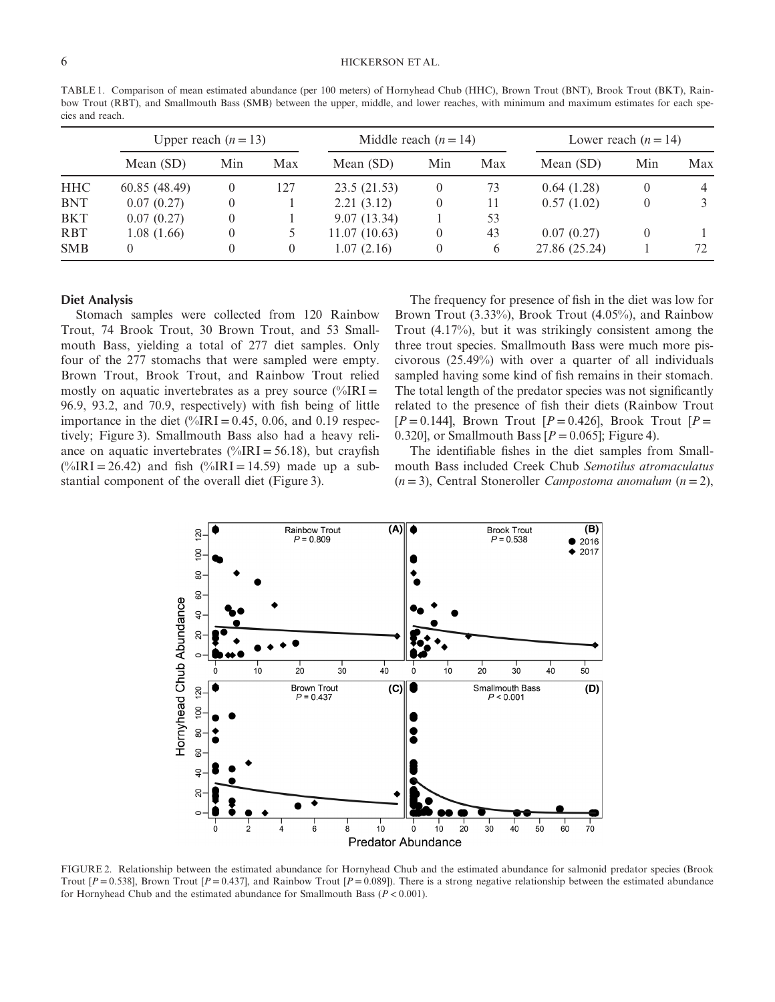TABLE 1. Comparison of mean estimated abundance (per 100 meters) of Hornyhead Chub (HHC), Brown Trout (BNT), Brook Trout (BKT), Rainbow Trout (RBT), and Smallmouth Bass (SMB) between the upper, middle, and lower reaches, with minimum and maximum estimates for each species and reach.

|            | Upper reach $(n=13)$ |     |          | Middle reach $(n = 14)$ |          |     | Lower reach $(n = 14)$ |     |     |
|------------|----------------------|-----|----------|-------------------------|----------|-----|------------------------|-----|-----|
|            | Mean (SD)            | Min | Max      | Mean (SD)               | Min      | Max | Mean (SD)              | Min | Max |
| <b>HHC</b> | 60.85 (48.49)        |     | 127      | 23.5 (21.53)            | $\theta$ | 73  | 0.64(1.28)             |     |     |
| <b>BNT</b> | 0.07(0.27)           |     |          | 2.21(3.12)              |          | 11  | 0.57(1.02)             |     |     |
| <b>BKT</b> | 0.07(0.27)           |     |          | 9.07(13.34)             |          | 53  |                        |     |     |
| <b>RBT</b> | 1.08(1.66)           |     |          | 11.07(10.63)            | $\theta$ | 43  | 0.07(0.27)             |     |     |
| <b>SMB</b> | $\theta$             |     | $\theta$ | 1.07(2.16)              | 0        | 6   | 27.86 (25.24)          |     | 72  |

#### **Diet Analysis**

Stomach samples were collected from 120 Rainbow Trout, 74 Brook Trout, 30 Brown Trout, and 53 Smallmouth Bass, yielding a total of 277 diet samples. Only four of the 277 stomachs that were sampled were empty. Brown Trout, Brook Trout, and Rainbow Trout relied mostly on aquatic invertebrates as a prey source  $\frac{\%IRI}{\%}$ 96.9, 93.2, and 70.9, respectively) with fish being of little importance in the diet  $\frac{0}{a}$  IRI = 0.45, 0.06, and 0.19 respectively; Figure 3). Smallmouth Bass also had a heavy reliance on aquatic invertebrates (%IRI =  $56.18$ ), but crayfish  $(\frac{\%}{IRI} = 26.42)$  and fish  $(\frac{\%}{IRI} = 14.59)$  made up a substantial component of the overall diet (Figure 3).

The frequency for presence of fish in the diet was low for Brown Trout (3.33%), Brook Trout (4.05%), and Rainbow Trout (4.17%), but it was strikingly consistent among the three trout species. Smallmouth Bass were much more piscivorous (25.49%) with over a quarter of all individuals sampled having some kind of fish remains in their stomach. The total length of the predator species was not significantly related to the presence of fish their diets (Rainbow Trout  $[P=0.144]$ , Brown Trout  $[P=0.426]$ , Brook Trout  $[P=$ 0.320], or Smallmouth Bass  $[P = 0.065]$ ; Figure 4).

The identifiable fishes in the diet samples from Smallmouth Bass included Creek Chub *Semotilus atromaculatus* (*n* = 3), Central Stoneroller *Campostoma anomalum* (*n* = 2),



FIGURE 2. Relationship between the estimated abundance for Hornyhead Chub and the estimated abundance for salmonid predator species (Brook Trout  $[P = 0.538]$ , Brown Trout  $[P = 0.437]$ , and Rainbow Trout  $[P = 0.089]$ ). There is a strong negative relationship between the estimated abundance for Hornyhead Chub and the estimated abundance for Smallmouth Bass (*P* < 0.001).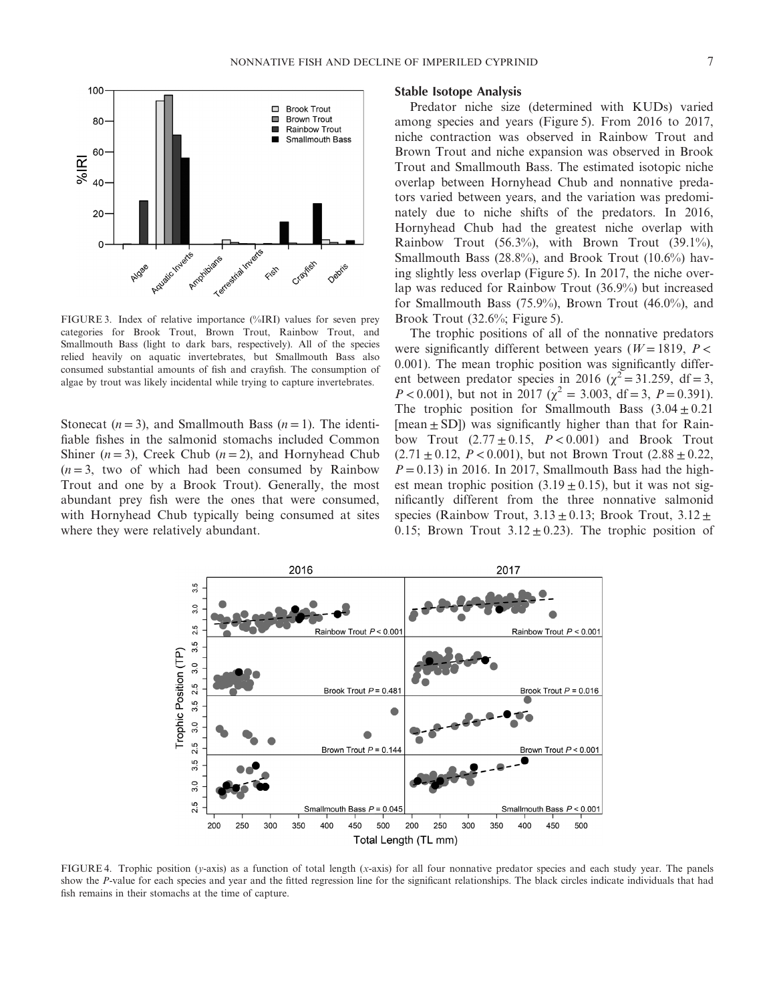

FIGURE 3. Index of relative importance (%IRI) values for seven prey categories for Brook Trout, Brown Trout, Rainbow Trout, and Smallmouth Bass (light to dark bars, respectively). All of the species relied heavily on aquatic invertebrates, but Smallmouth Bass also consumed substantial amounts of fish and crayfish. The consumption of algae by trout was likely incidental while trying to capture invertebrates.

Stonecat  $(n=3)$ , and Smallmouth Bass  $(n=1)$ . The identifiable fishes in the salmonid stomachs included Common Shiner  $(n=3)$ , Creek Chub  $(n=2)$ , and Hornyhead Chub  $(n=3,$  two of which had been consumed by Rainbow Trout and one by a Brook Trout). Generally, the most abundant prey fish were the ones that were consumed, with Hornyhead Chub typically being consumed at sites where they were relatively abundant.

#### **Stable Isotope Analysis**

Predator niche size (determined with KUDs) varied among species and years (Figure 5). From 2016 to 2017, niche contraction was observed in Rainbow Trout and Brown Trout and niche expansion was observed in Brook Trout and Smallmouth Bass. The estimated isotopic niche overlap between Hornyhead Chub and nonnative predators varied between years, and the variation was predominately due to niche shifts of the predators. In 2016, Hornyhead Chub had the greatest niche overlap with Rainbow Trout  $(56.3\%)$ , with Brown Trout  $(39.1\%)$ , Smallmouth Bass (28.8%), and Brook Trout (10.6%) having slightly less overlap (Figure 5). In 2017, the niche overlap was reduced for Rainbow Trout (36.9%) but increased for Smallmouth Bass (75.9%), Brown Trout (46.0%), and Brook Trout (32.6%; Figure 5).

The trophic positions of all of the nonnative predators were significantly different between years ( $W = 1819$ ,  $P <$ 0.001). The mean trophic position was significantly different between predator species in 2016 ( $\chi^2$  = 31.259, df = 3, *P* < 0.001), but not in 2017 ( $\chi^2$  = 3.003, df = 3, *P* = 0.391). The trophic position for Smallmouth Bass  $(3.04 \pm 0.21)$ [mean  $\pm$  SD]) was significantly higher than that for Rainbow Trout  $(2.77 \pm 0.15, P < 0.001)$  and Brook Trout  $(2.71 \pm 0.12, P < 0.001)$ , but not Brown Trout  $(2.88 \pm 0.22,$  $P = 0.13$ ) in 2016. In 2017, Smallmouth Bass had the highest mean trophic position  $(3.19 \pm 0.15)$ , but it was not significantly different from the three nonnative salmonid species (Rainbow Trout,  $3.13 \pm 0.13$ ; Brook Trout,  $3.12 \pm$ 0.15; Brown Trout  $3.12 \pm 0.23$ ). The trophic position of



FIGURE 4. Trophic position (*y*-axis) as a function of total length (*x*-axis) for all four nonnative predator species and each study year. The panels show the *P*-value for each species and year and the fitted regression line for the significant relationships. The black circles indicate individuals that had fish remains in their stomachs at the time of capture.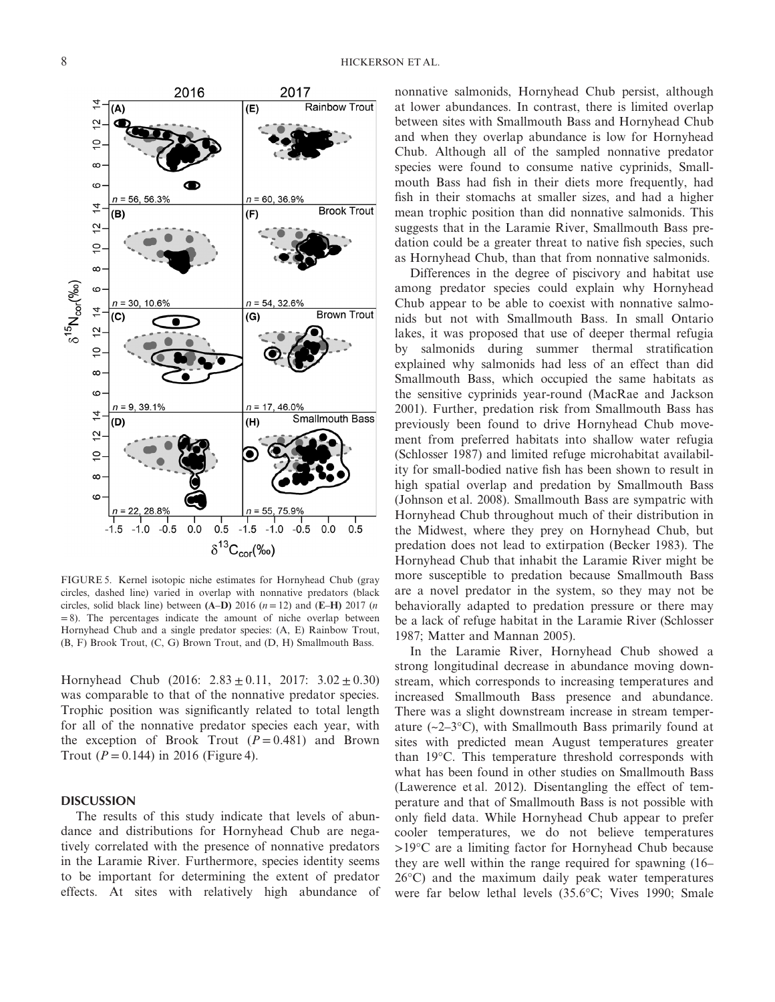

FIGURE 5. Kernel isotopic niche estimates for Hornyhead Chub (gray circles, dashed line) varied in overlap with nonnative predators (black circles, solid black line) between  $(A-D)$  2016 ( $n = 12$ ) and  $(E-H)$  2017 ( $n = 12$ )  $= 8$ ). The percentages indicate the amount of niche overlap between Hornyhead Chub and a single predator species: (A, E) Rainbow Trout, (B, F) Brook Trout, (C, G) Brown Trout, and (D, H) Smallmouth Bass.

Hornyhead Chub (2016:  $2.83 \pm 0.11$ , 2017:  $3.02 \pm 0.30$ ) was comparable to that of the nonnative predator species. Trophic position was significantly related to total length for all of the nonnative predator species each year, with the exception of Brook Trout  $(P = 0.481)$  and Brown Trout ( $P = 0.144$ ) in 2016 (Figure 4).

#### **DISCUSSION**

The results of this study indicate that levels of abundance and distributions for Hornyhead Chub are negatively correlated with the presence of nonnative predators in the Laramie River. Furthermore, species identity seems to be important for determining the extent of predator effects. At sites with relatively high abundance of nonnative salmonids, Hornyhead Chub persist, although at lower abundances. In contrast, there is limited overlap between sites with Smallmouth Bass and Hornyhead Chub and when they overlap abundance is low for Hornyhead Chub. Although all of the sampled nonnative predator species were found to consume native cyprinids, Smallmouth Bass had fish in their diets more frequently, had fish in their stomachs at smaller sizes, and had a higher mean trophic position than did nonnative salmonids. This suggests that in the Laramie River, Smallmouth Bass predation could be a greater threat to native fish species, such as Hornyhead Chub, than that from nonnative salmonids.

Differences in the degree of piscivory and habitat use among predator species could explain why Hornyhead Chub appear to be able to coexist with nonnative salmonids but not with Smallmouth Bass. In small Ontario lakes, it was proposed that use of deeper thermal refugia by salmonids during summer thermal stratification explained why salmonids had less of an effect than did Smallmouth Bass, which occupied the same habitats as the sensitive cyprinids year-round (MacRae and Jackson 2001). Further, predation risk from Smallmouth Bass has previously been found to drive Hornyhead Chub movement from preferred habitats into shallow water refugia (Schlosser 1987) and limited refuge microhabitat availability for small-bodied native fish has been shown to result in high spatial overlap and predation by Smallmouth Bass (Johnson et al. 2008). Smallmouth Bass are sympatric with Hornyhead Chub throughout much of their distribution in the Midwest, where they prey on Hornyhead Chub, but predation does not lead to extirpation (Becker 1983). The Hornyhead Chub that inhabit the Laramie River might be more susceptible to predation because Smallmouth Bass are a novel predator in the system, so they may not be behaviorally adapted to predation pressure or there may be a lack of refuge habitat in the Laramie River (Schlosser 1987; Matter and Mannan 2005).

In the Laramie River, Hornyhead Chub showed a strong longitudinal decrease in abundance moving downstream, which corresponds to increasing temperatures and increased Smallmouth Bass presence and abundance. There was a slight downstream increase in stream temperature  $(-2-3°C)$ , with Smallmouth Bass primarily found at sites with predicted mean August temperatures greater than 19°C. This temperature threshold corresponds with what has been found in other studies on Smallmouth Bass (Lawerence et al. 2012). Disentangling the effect of temperature and that of Smallmouth Bass is not possible with only field data. While Hornyhead Chub appear to prefer cooler temperatures, we do not believe temperatures >19°C are a limiting factor for Hornyhead Chub because they are well within the range required for spawning (16– 26°C) and the maximum daily peak water temperatures were far below lethal levels (35.6°C; Vives 1990; Smale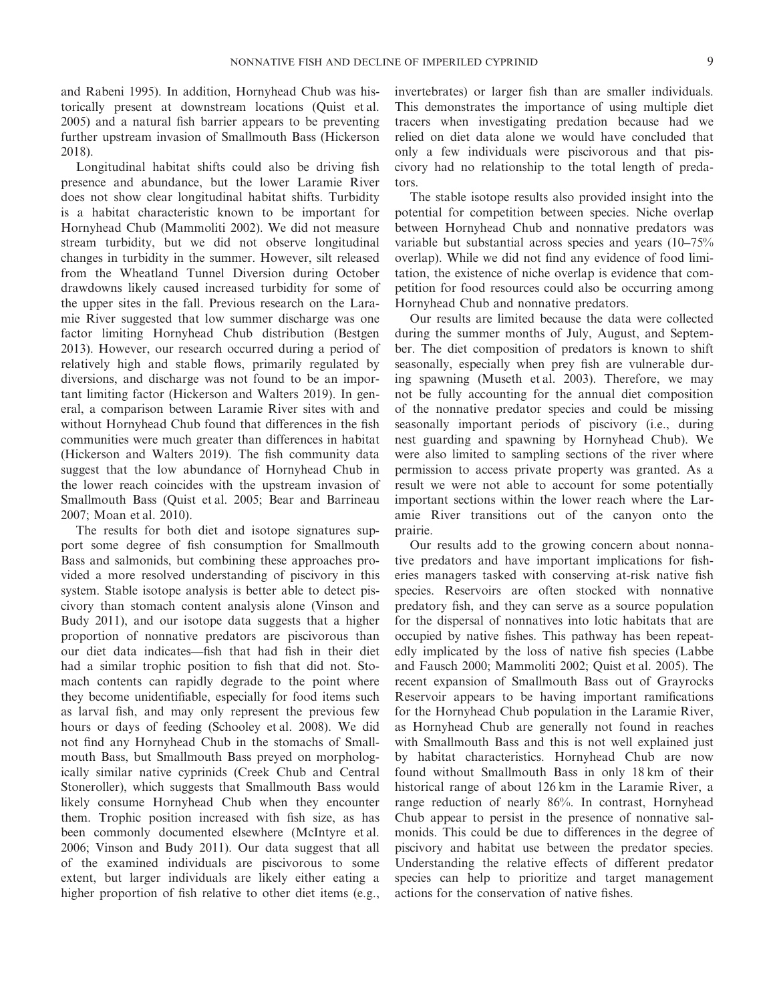and Rabeni 1995). In addition, Hornyhead Chub was historically present at downstream locations (Quist et al. 2005) and a natural fish barrier appears to be preventing further upstream invasion of Smallmouth Bass (Hickerson 2018).

Longitudinal habitat shifts could also be driving fish presence and abundance, but the lower Laramie River does not show clear longitudinal habitat shifts. Turbidity is a habitat characteristic known to be important for Hornyhead Chub (Mammoliti 2002). We did not measure stream turbidity, but we did not observe longitudinal changes in turbidity in the summer. However, silt released from the Wheatland Tunnel Diversion during October drawdowns likely caused increased turbidity for some of the upper sites in the fall. Previous research on the Laramie River suggested that low summer discharge was one factor limiting Hornyhead Chub distribution (Bestgen 2013). However, our research occurred during a period of relatively high and stable flows, primarily regulated by diversions, and discharge was not found to be an important limiting factor (Hickerson and Walters 2019). In general, a comparison between Laramie River sites with and without Hornyhead Chub found that differences in the fish communities were much greater than differences in habitat (Hickerson and Walters 2019). The fish community data suggest that the low abundance of Hornyhead Chub in the lower reach coincides with the upstream invasion of Smallmouth Bass (Quist et al. 2005; Bear and Barrineau 2007; Moan et al. 2010).

The results for both diet and isotope signatures support some degree of fish consumption for Smallmouth Bass and salmonids, but combining these approaches provided a more resolved understanding of piscivory in this system. Stable isotope analysis is better able to detect piscivory than stomach content analysis alone (Vinson and Budy 2011), and our isotope data suggests that a higher proportion of nonnative predators are piscivorous than our diet data indicates—fish that had fish in their diet had a similar trophic position to fish that did not. Stomach contents can rapidly degrade to the point where they become unidentifiable, especially for food items such as larval fish, and may only represent the previous few hours or days of feeding (Schooley et al. 2008). We did not find any Hornyhead Chub in the stomachs of Smallmouth Bass, but Smallmouth Bass preyed on morphologically similar native cyprinids (Creek Chub and Central Stoneroller), which suggests that Smallmouth Bass would likely consume Hornyhead Chub when they encounter them. Trophic position increased with fish size, as has been commonly documented elsewhere (McIntyre et al. 2006; Vinson and Budy 2011). Our data suggest that all of the examined individuals are piscivorous to some extent, but larger individuals are likely either eating a higher proportion of fish relative to other diet items (e.g.,

invertebrates) or larger fish than are smaller individuals. This demonstrates the importance of using multiple diet tracers when investigating predation because had we relied on diet data alone we would have concluded that only a few individuals were piscivorous and that piscivory had no relationship to the total length of predators.

The stable isotope results also provided insight into the potential for competition between species. Niche overlap between Hornyhead Chub and nonnative predators was variable but substantial across species and years (10–75% overlap). While we did not find any evidence of food limitation, the existence of niche overlap is evidence that competition for food resources could also be occurring among Hornyhead Chub and nonnative predators.

Our results are limited because the data were collected during the summer months of July, August, and September. The diet composition of predators is known to shift seasonally, especially when prey fish are vulnerable during spawning (Museth et al. 2003). Therefore, we may not be fully accounting for the annual diet composition of the nonnative predator species and could be missing seasonally important periods of piscivory (i.e., during nest guarding and spawning by Hornyhead Chub). We were also limited to sampling sections of the river where permission to access private property was granted. As a result we were not able to account for some potentially important sections within the lower reach where the Laramie River transitions out of the canyon onto the prairie.

Our results add to the growing concern about nonnative predators and have important implications for fisheries managers tasked with conserving at-risk native fish species. Reservoirs are often stocked with nonnative predatory fish, and they can serve as a source population for the dispersal of nonnatives into lotic habitats that are occupied by native fishes. This pathway has been repeatedly implicated by the loss of native fish species (Labbe and Fausch 2000; Mammoliti 2002; Quist et al. 2005). The recent expansion of Smallmouth Bass out of Grayrocks Reservoir appears to be having important ramifications for the Hornyhead Chub population in the Laramie River, as Hornyhead Chub are generally not found in reaches with Smallmouth Bass and this is not well explained just by habitat characteristics. Hornyhead Chub are now found without Smallmouth Bass in only 18 km of their historical range of about 126 km in the Laramie River, a range reduction of nearly 86%. In contrast, Hornyhead Chub appear to persist in the presence of nonnative salmonids. This could be due to differences in the degree of piscivory and habitat use between the predator species. Understanding the relative effects of different predator species can help to prioritize and target management actions for the conservation of native fishes.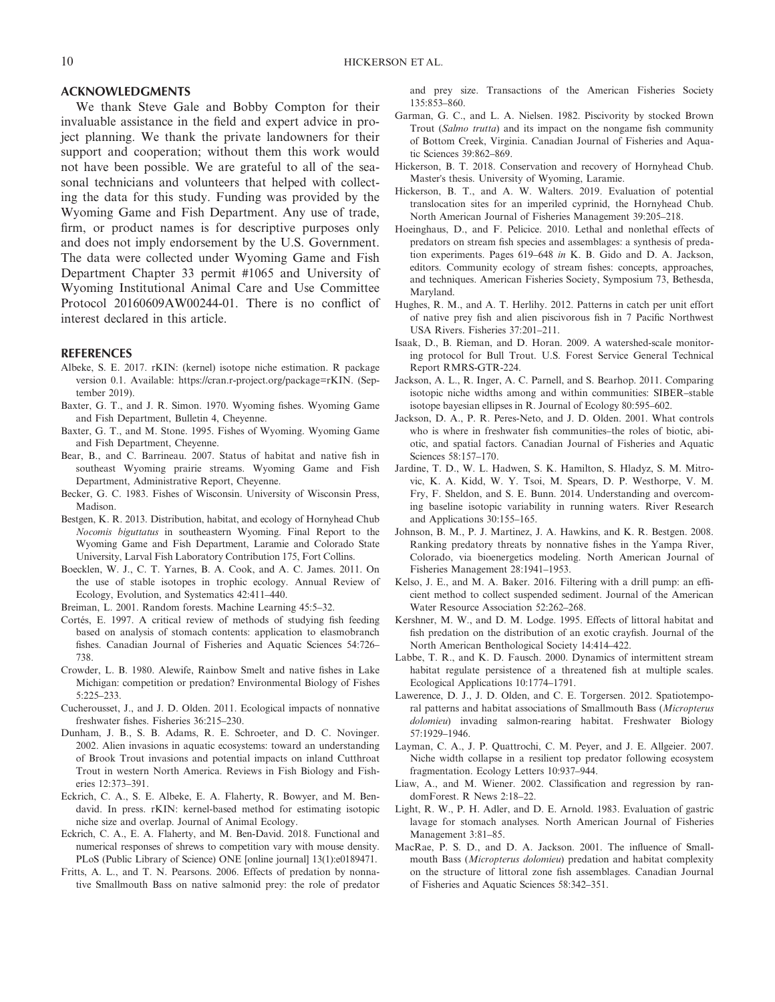### **ACKNOWLEDGMENTS**

We thank Steve Gale and Bobby Compton for their invaluable assistance in the field and expert advice in project planning. We thank the private landowners for their support and cooperation; without them this work would not have been possible. We are grateful to all of the seasonal technicians and volunteers that helped with collecting the data for this study. Funding was provided by the Wyoming Game and Fish Department. Any use of trade, firm, or product names is for descriptive purposes only and does not imply endorsement by the U.S. Government. The data were collected under Wyoming Game and Fish Department Chapter 33 permit #1065 and University of Wyoming Institutional Animal Care and Use Committee Protocol 20160609AW00244-01. There is no conflict of interest declared in this article.

#### **REFERENCES**

- Albeke, S. E. 2017. rKIN: (kernel) isotope niche estimation. R package version 0.1. Available:<https://cran.r-project.org/package=rKIN>. (September 2019).
- Baxter, G. T., and J. R. Simon. 1970. Wyoming fishes. Wyoming Game and Fish Department, Bulletin 4, Cheyenne.
- Baxter, G. T., and M. Stone. 1995. Fishes of Wyoming. Wyoming Game and Fish Department, Cheyenne.
- Bear, B., and C. Barrineau. 2007. Status of habitat and native fish in southeast Wyoming prairie streams. Wyoming Game and Fish Department, Administrative Report, Cheyenne.
- Becker, G. C. 1983. Fishes of Wisconsin. University of Wisconsin Press, Madison.
- Bestgen, K. R. 2013. Distribution, habitat, and ecology of Hornyhead Chub *Nocomis biguttatus* in southeastern Wyoming. Final Report to the Wyoming Game and Fish Department, Laramie and Colorado State University, Larval Fish Laboratory Contribution 175, Fort Collins.
- Boecklen, W. J., C. T. Yarnes, B. A. Cook, and A. C. James. 2011. On the use of stable isotopes in trophic ecology. Annual Review of Ecology, Evolution, and Systematics 42:411–440.

Breiman, L. 2001. Random forests. Machine Learning 45:5–32.

- Cortés, E. 1997. A critical review of methods of studying fish feeding based on analysis of stomach contents: application to elasmobranch fishes. Canadian Journal of Fisheries and Aquatic Sciences 54:726– 738.
- Crowder, L. B. 1980. Alewife, Rainbow Smelt and native fishes in Lake Michigan: competition or predation? Environmental Biology of Fishes 5:225–233.
- Cucherousset, J., and J. D. Olden. 2011. Ecological impacts of nonnative freshwater fishes. Fisheries 36:215–230.
- Dunham, J. B., S. B. Adams, R. E. Schroeter, and D. C. Novinger. 2002. Alien invasions in aquatic ecosystems: toward an understanding of Brook Trout invasions and potential impacts on inland Cutthroat Trout in western North America. Reviews in Fish Biology and Fisheries 12:373–391.
- Eckrich, C. A., S. E. Albeke, E. A. Flaherty, R. Bowyer, and M. Bendavid. In press. rKIN: kernel-based method for estimating isotopic niche size and overlap. Journal of Animal Ecology.
- Eckrich, C. A., E. A. Flaherty, and M. Ben-David. 2018. Functional and numerical responses of shrews to competition vary with mouse density. PLoS (Public Library of Science) ONE [online journal] 13(1):e0189471.
- Fritts, A. L., and T. N. Pearsons. 2006. Effects of predation by nonnative Smallmouth Bass on native salmonid prey: the role of predator

and prey size. Transactions of the American Fisheries Society 135:853–860.

- Garman, G. C., and L. A. Nielsen. 1982. Piscivority by stocked Brown Trout (*Salmo trutta*) and its impact on the nongame fish community of Bottom Creek, Virginia. Canadian Journal of Fisheries and Aquatic Sciences 39:862–869.
- Hickerson, B. T. 2018. Conservation and recovery of Hornyhead Chub. Master's thesis. University of Wyoming, Laramie.
- Hickerson, B. T., and A. W. Walters. 2019. Evaluation of potential translocation sites for an imperiled cyprinid, the Hornyhead Chub. North American Journal of Fisheries Management 39:205–218.
- Hoeinghaus, D., and F. Pelicice. 2010. Lethal and nonlethal effects of predators on stream fish species and assemblages: a synthesis of predation experiments. Pages 619–648 *in* K. B. Gido and D. A. Jackson, editors. Community ecology of stream fishes: concepts, approaches, and techniques. American Fisheries Society, Symposium 73, Bethesda, Maryland.
- Hughes, R. M., and A. T. Herlihy. 2012. Patterns in catch per unit effort of native prey fish and alien piscivorous fish in 7 Pacific Northwest USA Rivers. Fisheries 37:201–211.
- Isaak, D., B. Rieman, and D. Horan. 2009. A watershed-scale monitoring protocol for Bull Trout. U.S. Forest Service General Technical Report RMRS-GTR-224.
- Jackson, A. L., R. Inger, A. C. Parnell, and S. Bearhop. 2011. Comparing isotopic niche widths among and within communities: SIBER–stable isotope bayesian ellipses in R. Journal of Ecology 80:595–602.
- Jackson, D. A., P. R. Peres-Neto, and J. D. Olden. 2001. What controls who is where in freshwater fish communities–the roles of biotic, abiotic, and spatial factors. Canadian Journal of Fisheries and Aquatic Sciences 58:157–170.
- Jardine, T. D., W. L. Hadwen, S. K. Hamilton, S. Hladyz, S. M. Mitrovic, K. A. Kidd, W. Y. Tsoi, M. Spears, D. P. Westhorpe, V. M. Fry, F. Sheldon, and S. E. Bunn. 2014. Understanding and overcoming baseline isotopic variability in running waters. River Research and Applications 30:155–165.
- Johnson, B. M., P. J. Martinez, J. A. Hawkins, and K. R. Bestgen. 2008. Ranking predatory threats by nonnative fishes in the Yampa River, Colorado, via bioenergetics modeling. North American Journal of Fisheries Management 28:1941–1953.
- Kelso, J. E., and M. A. Baker. 2016. Filtering with a drill pump: an efficient method to collect suspended sediment. Journal of the American Water Resource Association 52:262–268.
- Kershner, M. W., and D. M. Lodge. 1995. Effects of littoral habitat and fish predation on the distribution of an exotic crayfish. Journal of the North American Benthological Society 14:414–422.
- Labbe, T. R., and K. D. Fausch. 2000. Dynamics of intermittent stream habitat regulate persistence of a threatened fish at multiple scales. Ecological Applications 10:1774–1791.
- Lawerence, D. J., J. D. Olden, and C. E. Torgersen. 2012. Spatiotemporal patterns and habitat associations of Smallmouth Bass (*Micropterus dolomieu*) invading salmon-rearing habitat. Freshwater Biology 57:1929–1946.
- Layman, C. A., J. P. Quattrochi, C. M. Peyer, and J. E. Allgeier. 2007. Niche width collapse in a resilient top predator following ecosystem fragmentation. Ecology Letters 10:937–944.
- Liaw, A., and M. Wiener. 2002. Classification and regression by randomForest. R News 2:18–22.
- Light, R. W., P. H. Adler, and D. E. Arnold. 1983. Evaluation of gastric lavage for stomach analyses. North American Journal of Fisheries Management 3:81–85.
- MacRae, P. S. D., and D. A. Jackson. 2001. The influence of Smallmouth Bass (*Micropterus dolomieu*) predation and habitat complexity on the structure of littoral zone fish assemblages. Canadian Journal of Fisheries and Aquatic Sciences 58:342–351.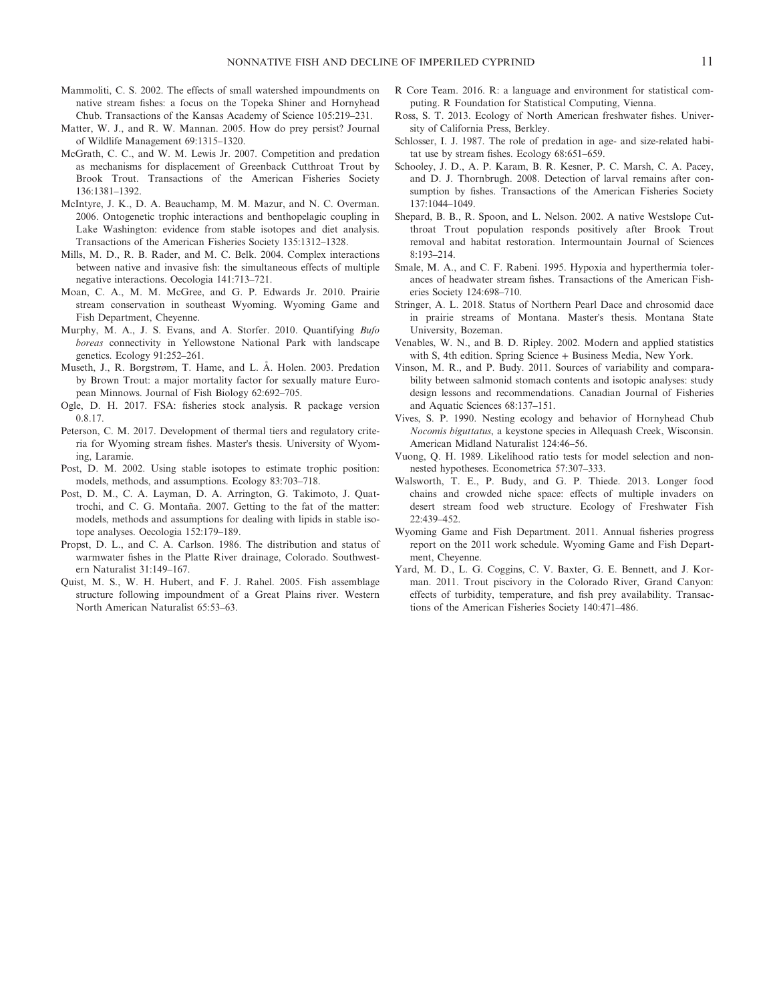- Mammoliti, C. S. 2002. The effects of small watershed impoundments on native stream fishes: a focus on the Topeka Shiner and Hornyhead Chub. Transactions of the Kansas Academy of Science 105:219–231.
- Matter, W. J., and R. W. Mannan. 2005. How do prey persist? Journal of Wildlife Management 69:1315–1320.
- McGrath, C. C., and W. M. Lewis Jr. 2007. Competition and predation as mechanisms for displacement of Greenback Cutthroat Trout by Brook Trout. Transactions of the American Fisheries Society 136:1381–1392.
- McIntyre, J. K., D. A. Beauchamp, M. M. Mazur, and N. C. Overman. 2006. Ontogenetic trophic interactions and benthopelagic coupling in Lake Washington: evidence from stable isotopes and diet analysis. Transactions of the American Fisheries Society 135:1312–1328.
- Mills, M. D., R. B. Rader, and M. C. Belk. 2004. Complex interactions between native and invasive fish: the simultaneous effects of multiple negative interactions. Oecologia 141:713–721.
- Moan, C. A., M. M. McGree, and G. P. Edwards Jr. 2010. Prairie stream conservation in southeast Wyoming. Wyoming Game and Fish Department, Cheyenne.
- Murphy, M. A., J. S. Evans, and A. Storfer. 2010. Quantifying *Bufo boreas* connectivity in Yellowstone National Park with landscape genetics. Ecology 91:252–261.
- Museth, J., R. Borgstrøm, T. Hame, and L. Å. Holen. 2003. Predation by Brown Trout: a major mortality factor for sexually mature European Minnows. Journal of Fish Biology 62:692–705.
- Ogle, D. H. 2017. FSA: fisheries stock analysis. R package version 0.8.17.
- Peterson, C. M. 2017. Development of thermal tiers and regulatory criteria for Wyoming stream fishes. Master's thesis. University of Wyoming, Laramie.
- Post, D. M. 2002. Using stable isotopes to estimate trophic position: models, methods, and assumptions. Ecology 83:703–718.
- Post, D. M., C. A. Layman, D. A. Arrington, G. Takimoto, J. Quattrochi, and C. G. Montaña. 2007. Getting to the fat of the matter: models, methods and assumptions for dealing with lipids in stable isotope analyses. Oecologia 152:179–189.
- Propst, D. L., and C. A. Carlson. 1986. The distribution and status of warmwater fishes in the Platte River drainage, Colorado. Southwestern Naturalist 31:149–167.
- Quist, M. S., W. H. Hubert, and F. J. Rahel. 2005. Fish assemblage structure following impoundment of a Great Plains river. Western North American Naturalist 65:53–63.
- R Core Team. 2016. R: a language and environment for statistical computing. R Foundation for Statistical Computing, Vienna.
- Ross, S. T. 2013. Ecology of North American freshwater fishes. University of California Press, Berkley.
- Schlosser, I. J. 1987. The role of predation in age- and size-related habitat use by stream fishes. Ecology 68:651–659.
- Schooley, J. D., A. P. Karam, B. R. Kesner, P. C. Marsh, C. A. Pacey, and D. J. Thornbrugh. 2008. Detection of larval remains after consumption by fishes. Transactions of the American Fisheries Society 137:1044–1049.
- Shepard, B. B., R. Spoon, and L. Nelson. 2002. A native Westslope Cutthroat Trout population responds positively after Brook Trout removal and habitat restoration. Intermountain Journal of Sciences  $8.193 - 214$
- Smale, M. A., and C. F. Rabeni. 1995. Hypoxia and hyperthermia tolerances of headwater stream fishes. Transactions of the American Fisheries Society 124:698–710.
- Stringer, A. L. 2018. Status of Northern Pearl Dace and chrosomid dace in prairie streams of Montana. Master's thesis. Montana State University, Bozeman.
- Venables, W. N., and B. D. Ripley. 2002. Modern and applied statistics with S, 4th edition. Spring Science + Business Media, New York.
- Vinson, M. R., and P. Budy. 2011. Sources of variability and comparability between salmonid stomach contents and isotopic analyses: study design lessons and recommendations. Canadian Journal of Fisheries and Aquatic Sciences 68:137–151.
- Vives, S. P. 1990. Nesting ecology and behavior of Hornyhead Chub *Nocomis biguttatus*, a keystone species in Allequash Creek, Wisconsin. American Midland Naturalist 124:46–56.
- Vuong, Q. H. 1989. Likelihood ratio tests for model selection and nonnested hypotheses. Econometrica 57:307–333.
- Walsworth, T. E., P. Budy, and G. P. Thiede. 2013. Longer food chains and crowded niche space: effects of multiple invaders on desert stream food web structure. Ecology of Freshwater Fish 22:439–452.
- Wyoming Game and Fish Department. 2011. Annual fisheries progress report on the 2011 work schedule. Wyoming Game and Fish Department, Cheyenne.
- Yard, M. D., L. G. Coggins, C. V. Baxter, G. E. Bennett, and J. Korman. 2011. Trout piscivory in the Colorado River, Grand Canyon: effects of turbidity, temperature, and fish prey availability. Transactions of the American Fisheries Society 140:471–486.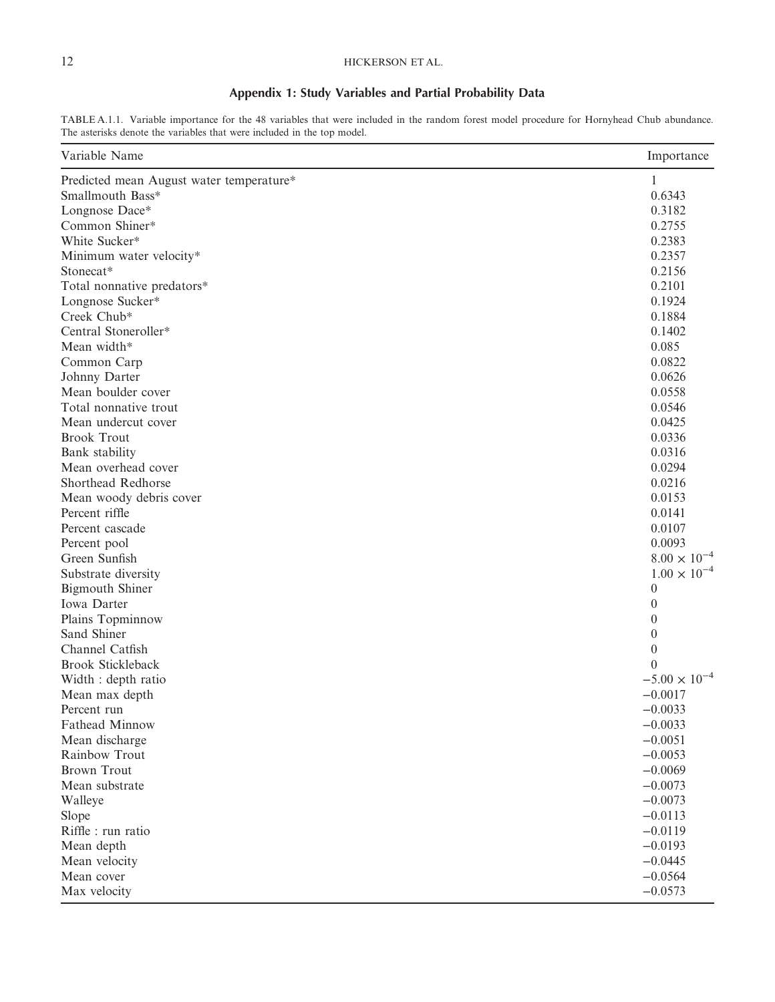## 12 HICKERSON ET AL.

## **Appendix 1: Study Variables and Partial Probability Data**

TABLE A.1.1. Variable importance for the 48 variables that were included in the random forest model procedure for Hornyhead Chub abundance. The asterisks denote the variables that were included in the top model.

| Variable Name                            | Importance             |
|------------------------------------------|------------------------|
| Predicted mean August water temperature* | 1                      |
| Smallmouth Bass*                         | 0.6343                 |
| Longnose Dace*                           | 0.3182                 |
| Common Shiner*                           | 0.2755                 |
| White Sucker*                            | 0.2383                 |
| Minimum water velocity*                  | 0.2357                 |
| Stonecat*                                | 0.2156                 |
| Total nonnative predators*               | 0.2101                 |
| Longnose Sucker*                         | 0.1924                 |
| Creek Chub*                              | 0.1884                 |
| Central Stoneroller*                     | 0.1402                 |
| Mean width*                              | 0.085                  |
| Common Carp                              | 0.0822                 |
| Johnny Darter                            | 0.0626                 |
| Mean boulder cover                       | 0.0558                 |
| Total nonnative trout                    | 0.0546                 |
| Mean undercut cover                      | 0.0425                 |
| <b>Brook Trout</b>                       | 0.0336                 |
| Bank stability                           | 0.0316                 |
| Mean overhead cover                      | 0.0294                 |
| Shorthead Redhorse                       | 0.0216                 |
| Mean woody debris cover                  | 0.0153                 |
| Percent riffle                           | 0.0141                 |
| Percent cascade                          | 0.0107                 |
| Percent pool                             | 0.0093                 |
| Green Sunfish                            | $8.00 \times 10^{-4}$  |
| Substrate diversity                      | $1.00 \times 10^{-4}$  |
| <b>Bigmouth Shiner</b>                   | $\theta$               |
| Iowa Darter                              | $\theta$               |
| Plains Topminnow                         | $\theta$               |
| Sand Shiner                              | $\theta$               |
| Channel Catfish                          | $\boldsymbol{0}$       |
| <b>Brook Stickleback</b>                 | $\theta$               |
| Width : depth ratio                      | $-5.00 \times 10^{-4}$ |
| Mean max depth                           | $-0.0017$              |
| Percent run                              | $-0.0033$              |
| Fathead Minnow                           | $-0.0033$              |
| Mean discharge                           | $-0.0051$              |
| Rainbow Trout                            | $-0.0053$              |
| <b>Brown Trout</b>                       | $-0.0069$              |
| Mean substrate                           | $-0.0073$              |
| Walleye                                  | $-0.0073$              |
| Slope                                    | $-0.0113$              |
| Riffle : run ratio                       | $-0.0119$              |
| Mean depth                               | $-0.0193$              |
| Mean velocity                            | $-0.0445$              |
| Mean cover                               | $-0.0564$              |
| Max velocity                             | $-0.0573$              |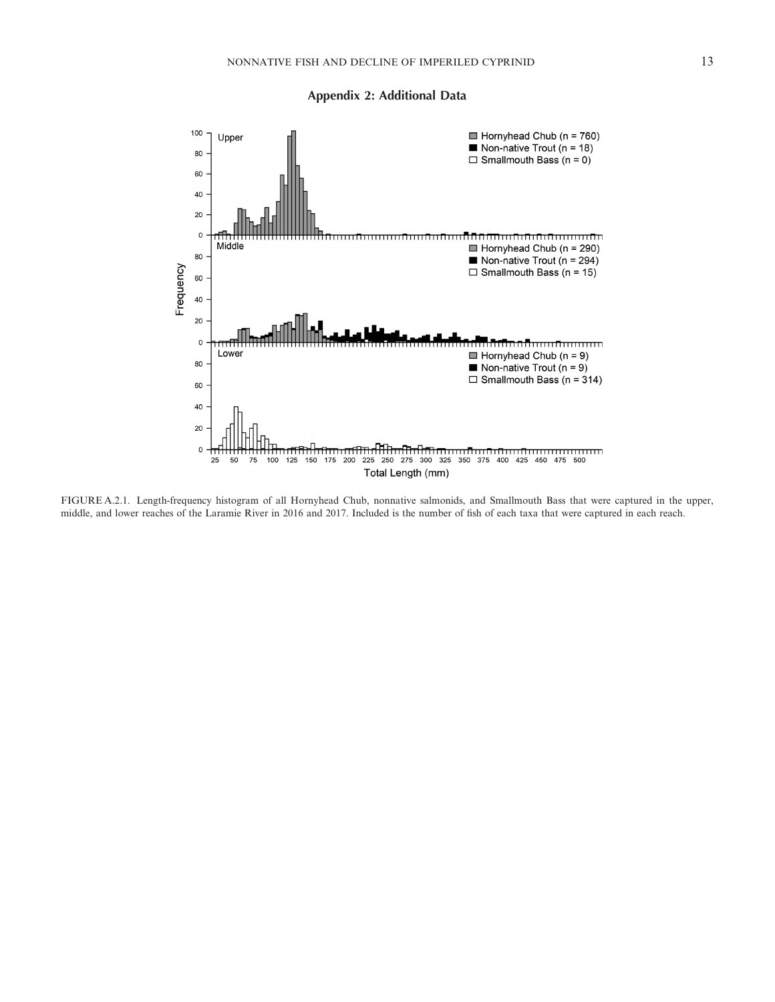



FIGURE A.2.1. Length-frequency histogram of all Hornyhead Chub, nonnative salmonids, and Smallmouth Bass that were captured in the upper, middle, and lower reaches of the Laramie River in 2016 and 2017. Included is the number of fish of each taxa that were captured in each reach.